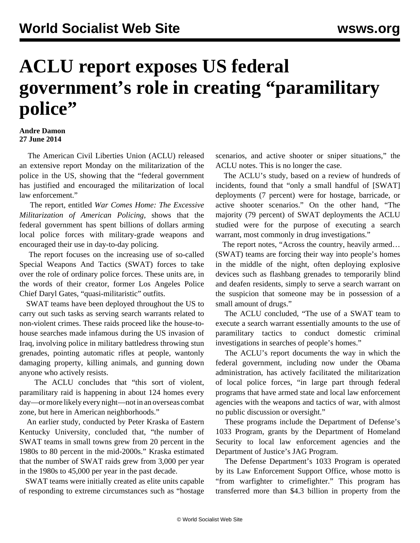## **ACLU report exposes US federal government's role in creating "paramilitary police"**

## **Andre Damon 27 June 2014**

 The American Civil Liberties Union (ACLU) released an extensive report Monday on the militarization of the police in the US, showing that the "federal government has justified and encouraged the militarization of local law enforcement."

 The report, entitled *War Comes Home: The Excessive Militarization of American Policing,* shows that the federal government has spent billions of dollars arming local police forces with military-grade weapons and encouraged their use in day-to-day policing.

 The report focuses on the increasing use of so-called Special Weapons And Tactics (SWAT) forces to take over the role of ordinary police forces. These units are, in the words of their creator, former Los Angeles Police Chief Daryl Gates, "quasi-militaristic" outfits.

 SWAT teams have been deployed throughout the US to carry out such tasks as serving search warrants related to non-violent crimes. These raids proceed like the house-tohouse searches made infamous during the US invasion of Iraq, involving police in military battledress throwing stun grenades, pointing automatic rifles at people, wantonly damaging property, killing animals, and gunning down anyone who actively resists.

 The ACLU concludes that "this sort of violent, paramilitary raid is happening in about 124 homes every day—or more likely every night—not in an overseas combat zone, but here in American neighborhoods."

 An earlier study, conducted by Peter Kraska of Eastern Kentucky University, concluded that, "the number of SWAT teams in small towns grew from 20 percent in the 1980s to 80 percent in the mid-2000s." Kraska estimated that the number of SWAT raids grew from 3,000 per year in the 1980s to 45,000 per year in the past decade.

 SWAT teams were initially created as elite units capable of responding to extreme circumstances such as "hostage scenarios, and active shooter or sniper situations," the ACLU notes. This is no longer the case.

 The ACLU's study, based on a review of hundreds of incidents, found that "only a small handful of [SWAT] deployments (7 percent) were for hostage, barricade, or active shooter scenarios." On the other hand, "The majority (79 percent) of SWAT deployments the ACLU studied were for the purpose of executing a search warrant, most commonly in drug investigations."

 The report notes, "Across the country, heavily armed… (SWAT) teams are forcing their way into people's homes in the middle of the night, often deploying explosive devices such as flashbang grenades to temporarily blind and deafen residents, simply to serve a search warrant on the suspicion that someone may be in possession of a small amount of drugs."

 The ACLU concluded, "The use of a SWAT team to execute a search warrant essentially amounts to the use of paramilitary tactics to conduct domestic criminal investigations in searches of people's homes."

 The ACLU's report documents the way in which the federal government, including now under the Obama administration, has actively facilitated the militarization of local police forces, "in large part through federal programs that have armed state and local law enforcement agencies with the weapons and tactics of war, with almost no public discussion or oversight."

 These programs include the Department of Defense's 1033 Program, grants by the Department of Homeland Security to local law enforcement agencies and the Department of Justice's JAG Program.

 The Defense Department's 1033 Program is operated by its Law Enforcement Support Office, whose motto is "from warfighter to crimefighter." This program has transferred more than \$4.3 billion in property from the